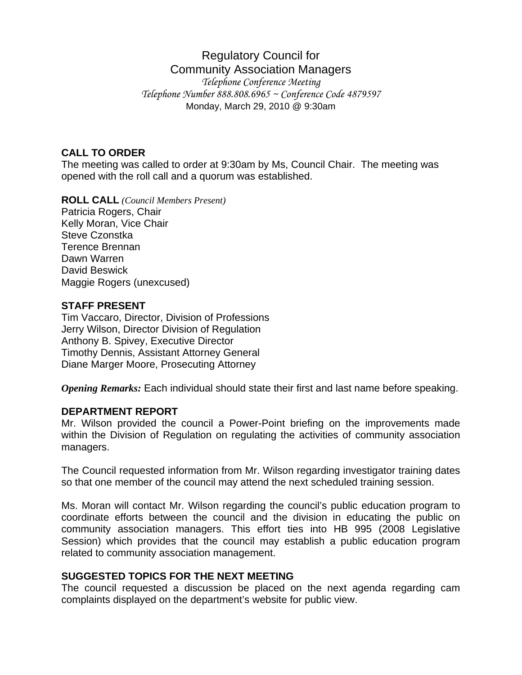# Regulatory Council for Community Association Managers

*Telephone Conference Meeting Telephone Number 888.808.6965 ~ Conference Code 4879597*  Monday, March 29, 2010 @ 9:30am

#### **CALL TO ORDER**

The meeting was called to order at 9:30am by Ms, Council Chair. The meeting was opened with the roll call and a quorum was established.

**ROLL CALL** *(Council Members Present)*

Patricia Rogers, Chair Kelly Moran, Vice Chair Steve Czonstka Terence Brennan Dawn Warren David Beswick Maggie Rogers (unexcused)

### **STAFF PRESENT**

Tim Vaccaro, Director, Division of Professions Jerry Wilson, Director Division of Regulation Anthony B. Spivey, Executive Director Timothy Dennis, Assistant Attorney General Diane Marger Moore, Prosecuting Attorney

*Opening Remarks:* Each individual should state their first and last name before speaking.

#### **DEPARTMENT REPORT**

Mr. Wilson provided the council a Power-Point briefing on the improvements made within the Division of Regulation on regulating the activities of community association managers.

The Council requested information from Mr. Wilson regarding investigator training dates so that one member of the council may attend the next scheduled training session.

Ms. Moran will contact Mr. Wilson regarding the council's public education program to coordinate efforts between the council and the division in educating the public on community association managers. This effort ties into HB 995 (2008 Legislative Session) which provides that the council may establish a public education program related to community association management.

#### **SUGGESTED TOPICS FOR THE NEXT MEETING**

The council requested a discussion be placed on the next agenda regarding cam complaints displayed on the department's website for public view.